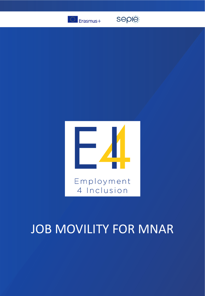

seple



## JOB MOVILITY FOR MNAR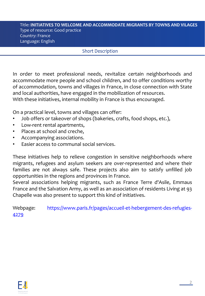## Title: **INITIATIVES TO WELCOME AND ACCOMMODATE MIGRANTS BY TOWNS AND VILAGES** Type of resource: Good practice Country: France Language: English

## **Short Description**

In order to meet professional needs, revitalize certain neighborhoods and accommodate more people and school children, and to offer conditions worthy of accommodation, towns and villages in France, in close connection with State and local authorities, have engaged in the mobilization of resources. With these initiatives, internal mobility in France is thus encouraged.

On a practical level, towns and villages can offer:

- Job offers or takeover of shops (bakeries, crafts, food shops, etc.),
- Low-rent rental apartments,
- Places at school and creche,
- Accompanying associations.
- Easier access to communal social services.

These initiatives help to relieve congestion in sensitive neighborhoods where migrants, refugees and asylum seekers are over-represented and where their families are not always safe. These projects also aim to satisfy unfilled job opportunities in the regions and provinces in France.

Several associations helping migrants, such as France Terre d'Asile, Emmaus France and the Salvation Army, as well as an association of residents Living at 93 Chapelle was also present to support this kind of initiatives.

Webpage: [https://www.paris.fr/pages/accueil-et-hebergement-des-refugies-](https://www.paris.fr/pages/accueil-et-hebergement-des-refugies-4279)4279